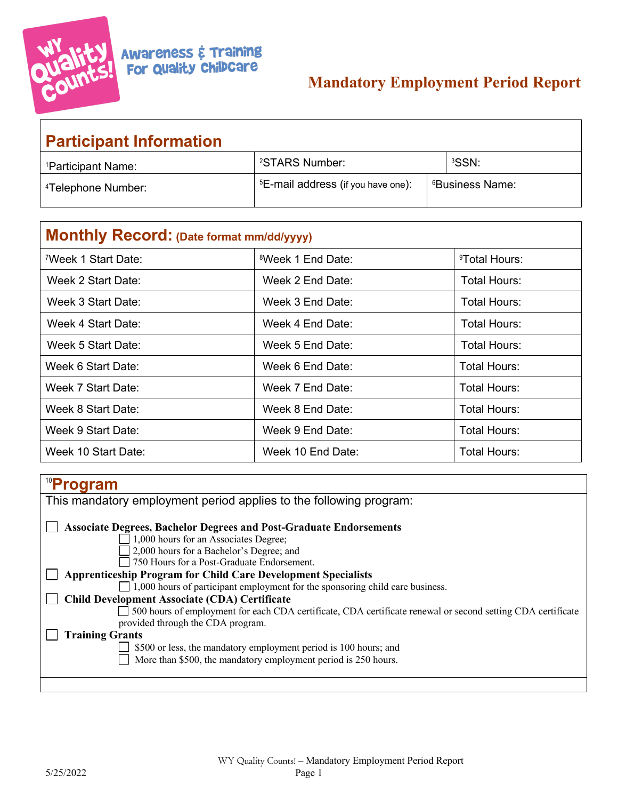

# **Mandatory Employment Period Report**

| <b>Participant Information</b> |                                                |  |                             |  |  |
|--------------------------------|------------------------------------------------|--|-----------------------------|--|--|
| <sup>1</sup> Participant Name: | <sup>2</sup> STARS Number:                     |  | <sup>3</sup> SSN:           |  |  |
| <sup>4</sup> Telephone Number: | <sup>5</sup> E-mail address (if you have one): |  | <sup>6</sup> Business Name: |  |  |

| Monthly Record: (Date format mm/dd/yyyy) |                               |                           |  |  |
|------------------------------------------|-------------------------------|---------------------------|--|--|
| <sup>7</sup> Week 1 Start Date:          | <sup>8</sup> Week 1 End Date: | <sup>9</sup> Total Hours: |  |  |
| Week 2 Start Date:                       | Week 2 End Date:              | Total Hours:              |  |  |
| Week 3 Start Date:                       | Week 3 End Date:              | Total Hours:              |  |  |
| Week 4 Start Date:                       | Week 4 End Date:              | Total Hours:              |  |  |
| Week 5 Start Date:                       | Week 5 End Date:              | Total Hours:              |  |  |
| Week 6 Start Date:                       | Week 6 End Date:              | Total Hours:              |  |  |
| Week 7 Start Date:                       | Week 7 End Date:              | Total Hours:              |  |  |
| Week 8 Start Date:                       | Week 8 End Date:              | Total Hours:              |  |  |
| Week 9 Start Date:                       | Week 9 End Date:              | Total Hours:              |  |  |
| Week 10 Start Date:                      | Week 10 End Date:             | Total Hours:              |  |  |

#### 10 **Program** This mandatory employment period applies to the following program: **Associate Degrees, Bachelor Degrees and Post-Graduate Endorsements** 1,000 hours for an Associates Degree; □ 2,000 hours for a Bachelor's Degree; and 750 Hours for a Post-Graduate Endorsement. **Apprenticeship Program for Child Care Development Specialists** 1,000 hours of participant employment for the sponsoring child care business. **Child Development Associate (CDA) Certificate** 500 hours of employment for each CDA certificate, CDA certificate renewal or second setting CDA certificate provided through the CDA program. **Training Grants** \$500 or less, the mandatory employment period is 100 hours; and More than \$500, the mandatory employment period is 250 hours.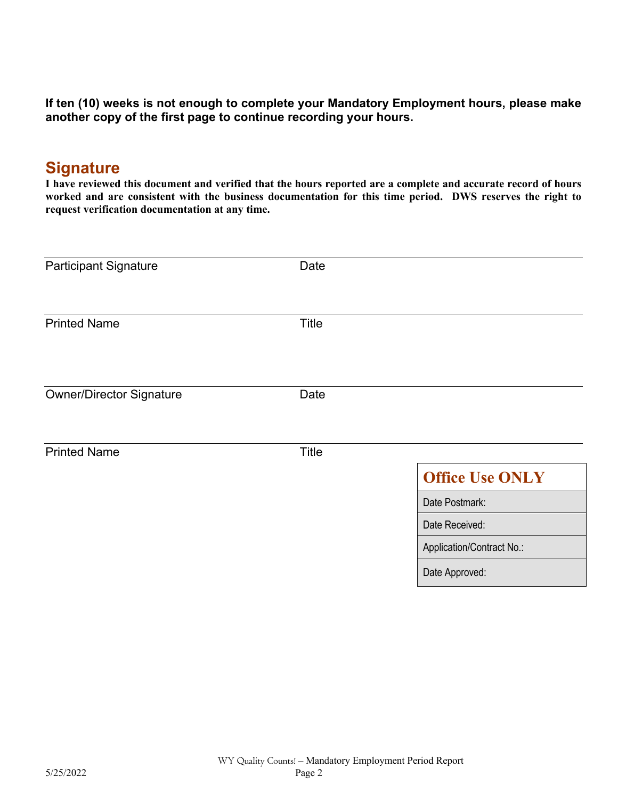**If ten (10) weeks is not enough to complete your Mandatory Employment hours, please make another copy of the first page to continue recording your hours.**

## **Signature**

**I have reviewed this document and verified that the hours reported are a complete and accurate record of hours worked and are consistent with the business documentation for this time period. DWS reserves the right to request verification documentation at any time.**

| <b>Participant Signature</b>    | Date         |                           |
|---------------------------------|--------------|---------------------------|
| <b>Printed Name</b>             | <b>Title</b> |                           |
|                                 |              |                           |
| <b>Owner/Director Signature</b> | Date         |                           |
| <b>Printed Name</b>             | <b>Title</b> |                           |
|                                 |              | <b>Office Use ONLY</b>    |
|                                 |              | Date Postmark:            |
|                                 |              | Date Received:            |
|                                 |              | Application/Contract No.: |
|                                 |              | Date Approved:            |